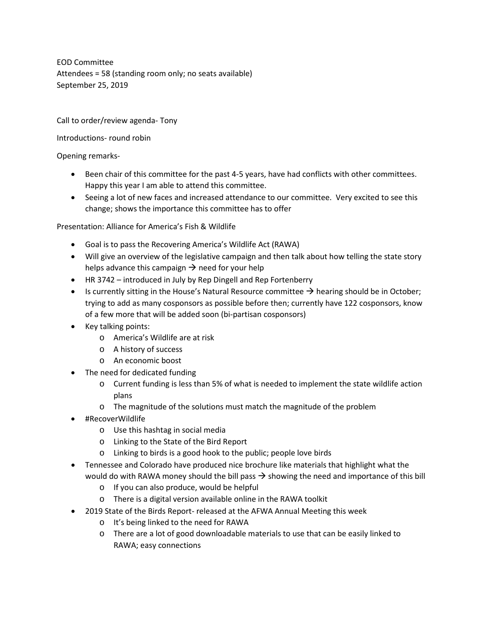EOD Committee Attendees = 58 (standing room only; no seats available) September 25, 2019

Call to order/review agenda- Tony

## Introductions- round robin

## Opening remarks-

- Been chair of this committee for the past 4-5 years, have had conflicts with other committees. Happy this year I am able to attend this committee.
- Seeing a lot of new faces and increased attendance to our committee. Very excited to see this change; shows the importance this committee has to offer

Presentation: Alliance for America's Fish & Wildlife

- Goal is to pass the Recovering America's Wildlife Act (RAWA)
- Will give an overview of the legislative campaign and then talk about how telling the state story helps advance this campaign  $\rightarrow$  need for your help
- HR 3742 introduced in July by Rep Dingell and Rep Fortenberry
- Is currently sitting in the House's Natural Resource committee  $\rightarrow$  hearing should be in October; trying to add as many cosponsors as possible before then; currently have 122 cosponsors, know of a few more that will be added soon (bi-partisan cosponsors)
- Key talking points:
	- o America's Wildlife are at risk
	- o A history of success
	- o An economic boost
- The need for dedicated funding
	- o Current funding is less than 5% of what is needed to implement the state wildlife action plans
	- o The magnitude of the solutions must match the magnitude of the problem
- #RecoverWildlife
	- o Use this hashtag in social media
	- o Linking to the State of the Bird Report
	- o Linking to birds is a good hook to the public; people love birds
- Tennessee and Colorado have produced nice brochure like materials that highlight what the would do with RAWA money should the bill pass  $\rightarrow$  showing the need and importance of this bill
	- o If you can also produce, would be helpful
	- o There is a digital version available online in the RAWA toolkit
- 2019 State of the Birds Report- released at the AFWA Annual Meeting this week
	- o It's being linked to the need for RAWA
	- o There are a lot of good downloadable materials to use that can be easily linked to RAWA; easy connections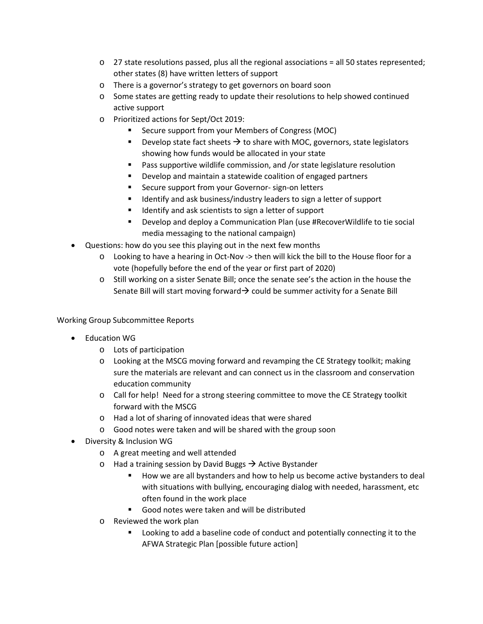- $\circ$  27 state resolutions passed, plus all the regional associations = all 50 states represented; other states (8) have written letters of support
- o There is a governor's strategy to get governors on board soon
- o Some states are getting ready to update their resolutions to help showed continued active support
- o Prioritized actions for Sept/Oct 2019:
	- Secure support from your Members of Congress (MOC)
	- Develop state fact sheets  $\rightarrow$  to share with MOC, governors, state legislators showing how funds would be allocated in your state
	- Pass supportive wildlife commission, and /or state legislature resolution
	- Develop and maintain a statewide coalition of engaged partners
	- Secure support from your Governor- sign-on letters
	- Identify and ask business/industry leaders to sign a letter of support
	- Identify and ask scientists to sign a letter of support
	- Develop and deploy a Communication Plan (use #RecoverWildlife to tie social media messaging to the national campaign)
- Questions: how do you see this playing out in the next few months
	- o Looking to have a hearing in Oct-Nov -> then will kick the bill to the House floor for a vote (hopefully before the end of the year or first part of 2020)
	- o Still working on a sister Senate Bill; once the senate see's the action in the house the Senate Bill will start moving forward  $\rightarrow$  could be summer activity for a Senate Bill

Working Group Subcommittee Reports

- Education WG
	- o Lots of participation
	- o Looking at the MSCG moving forward and revamping the CE Strategy toolkit; making sure the materials are relevant and can connect us in the classroom and conservation education community
	- o Call for help! Need for a strong steering committee to move the CE Strategy toolkit forward with the MSCG
	- o Had a lot of sharing of innovated ideas that were shared
	- o Good notes were taken and will be shared with the group soon
- Diversity & Inclusion WG
	- o A great meeting and well attended
	- o Had a training session by David Buggs  $\rightarrow$  Active Bystander
		- How we are all bystanders and how to help us become active bystanders to deal with situations with bullying, encouraging dialog with needed, harassment, etc often found in the work place
		- Good notes were taken and will be distributed
	- o Reviewed the work plan
		- **EXECT** Looking to add a baseline code of conduct and potentially connecting it to the AFWA Strategic Plan [possible future action]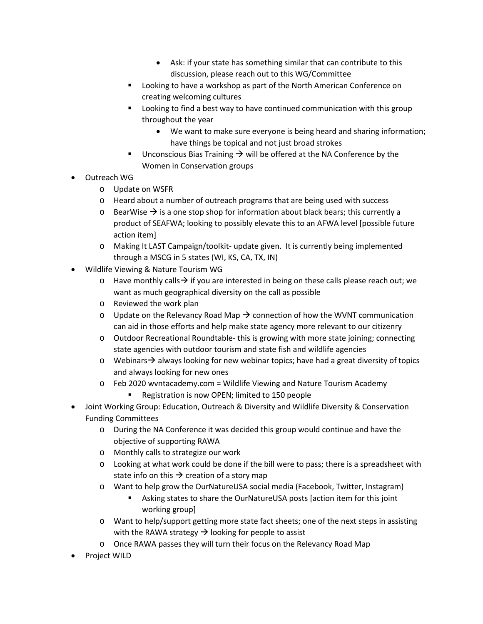- Ask: if your state has something similar that can contribute to this discussion, please reach out to this WG/Committee
- **Looking to have a workshop as part of the North American Conference on** creating welcoming cultures
- **EXTE:** Looking to find a best way to have continued communication with this group throughout the year
	- We want to make sure everyone is being heard and sharing information; have things be topical and not just broad strokes
- **Unconscious Bias Training**  $\rightarrow$  **will be offered at the NA Conference by the** Women in Conservation groups
- Outreach WG
	- o Update on WSFR
	- o Heard about a number of outreach programs that are being used with success
	- $\circ$  BearWise  $\rightarrow$  is a one stop shop for information about black bears; this currently a product of SEAFWA; looking to possibly elevate this to an AFWA level [possible future action item]
	- o Making It LAST Campaign/toolkit- update given. It is currently being implemented through a MSCG in 5 states (WI, KS, CA, TX, IN)
- Wildlife Viewing & Nature Tourism WG
	- $\circ$  Have monthly calls  $\rightarrow$  if you are interested in being on these calls please reach out; we want as much geographical diversity on the call as possible
	- o Reviewed the work plan
	- $\circ$  Update on the Relevancy Road Map  $\rightarrow$  connection of how the WVNT communication can aid in those efforts and help make state agency more relevant to our citizenry
	- o Outdoor Recreational Roundtable- this is growing with more state joining; connecting state agencies with outdoor tourism and state fish and wildlife agencies
	- $\circ$  Webinars  $\rightarrow$  always looking for new webinar topics; have had a great diversity of topics and always looking for new ones
	- o Feb 2020 wvntacademy.com = Wildlife Viewing and Nature Tourism Academy
		- **Registration is now OPEN; limited to 150 people**
- Joint Working Group: Education, Outreach & Diversity and Wildlife Diversity & Conservation Funding Committees
	- o During the NA Conference it was decided this group would continue and have the objective of supporting RAWA
	- o Monthly calls to strategize our work
	- o Looking at what work could be done if the bill were to pass; there is a spreadsheet with state info on this  $\rightarrow$  creation of a story map
	- o Want to help grow the OurNatureUSA social media (Facebook, Twitter, Instagram)
		- Asking states to share the OurNatureUSA posts [action item for this joint working group]
	- o Want to help/support getting more state fact sheets; one of the next steps in assisting with the RAWA strategy  $\rightarrow$  looking for people to assist
	- o Once RAWA passes they will turn their focus on the Relevancy Road Map
- Project WILD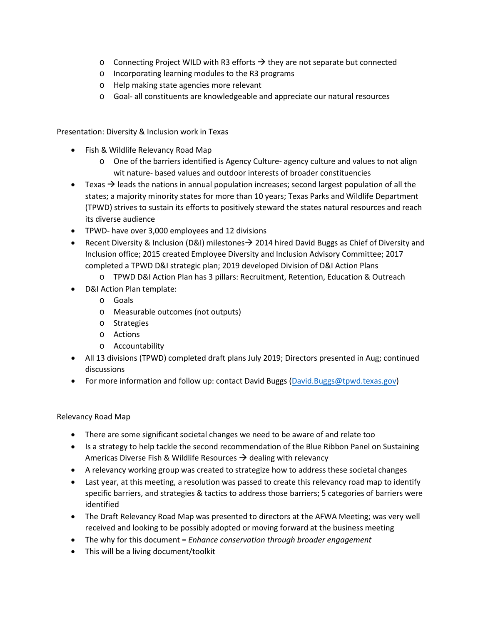- $\circ$  Connecting Project WILD with R3 efforts  $\rightarrow$  they are not separate but connected
- o Incorporating learning modules to the R3 programs
- o Help making state agencies more relevant
- o Goal- all constituents are knowledgeable and appreciate our natural resources

Presentation: Diversity & Inclusion work in Texas

- Fish & Wildlife Relevancy Road Map
	- o One of the barriers identified is Agency Culture- agency culture and values to not align wit nature- based values and outdoor interests of broader constituencies
- Texas  $\rightarrow$  leads the nations in annual population increases; second largest population of all the states; a majority minority states for more than 10 years; Texas Parks and Wildlife Department (TPWD) strives to sustain its efforts to positively steward the states natural resources and reach its diverse audience
- TPWD- have over 3,000 employees and 12 divisions
- **•** Recent Diversity & Inclusion (D&I) milestones  $\rightarrow$  2014 hired David Buggs as Chief of Diversity and Inclusion office; 2015 created Employee Diversity and Inclusion Advisory Committee; 2017 completed a TPWD D&I strategic plan; 2019 developed Division of D&I Action Plans
	- o TPWD D&I Action Plan has 3 pillars: Recruitment, Retention, Education & Outreach
- D&I Action Plan template:
	- o Goals
	- o Measurable outcomes (not outputs)
	- o Strategies
	- o Actions
	- o Accountability
- All 13 divisions (TPWD) completed draft plans July 2019; Directors presented in Aug; continued discussions
- For more information and follow up: contact David Buggs [\(David.Buggs@tpwd.texas.gov\)](mailto:David.Buggs@tpwd.texas.gov)

Relevancy Road Map

- There are some significant societal changes we need to be aware of and relate too
- Is a strategy to help tackle the second recommendation of the Blue Ribbon Panel on Sustaining Americas Diverse Fish & Wildlife Resources  $\rightarrow$  dealing with relevancy
- A relevancy working group was created to strategize how to address these societal changes
- Last year, at this meeting, a resolution was passed to create this relevancy road map to identify specific barriers, and strategies & tactics to address those barriers; 5 categories of barriers were identified
- The Draft Relevancy Road Map was presented to directors at the AFWA Meeting; was very well received and looking to be possibly adopted or moving forward at the business meeting
- The why for this document = *Enhance conservation through broader engagement*
- This will be a living document/toolkit